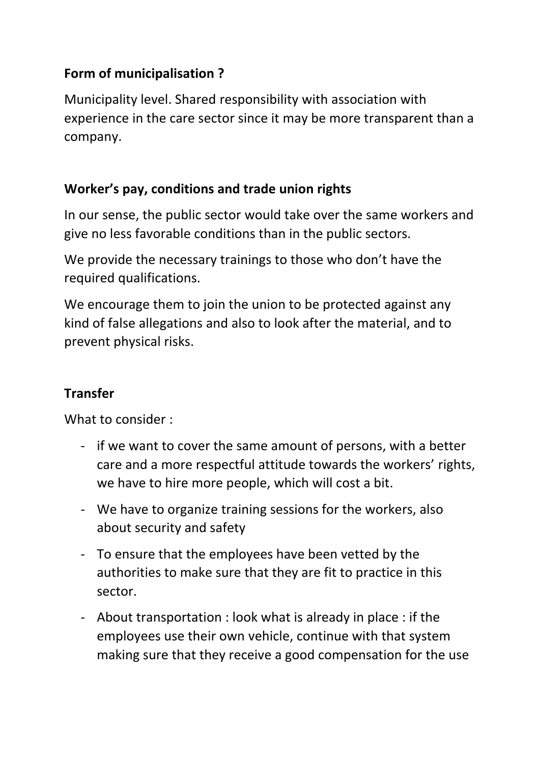## **Form of municipalisation ?**

Municipality level. Shared responsibility with association with experience in the care sector since it may be more transparent than a company.

## **Worker's pay, conditions and trade union rights**

In our sense, the public sector would take over the same workers and give no less favorable conditions than in the public sectors.

We provide the necessary trainings to those who don't have the required qualifications.

We encourage them to join the union to be protected against any kind of false allegations and also to look after the material, and to prevent physical risks.

# **Transfer**

What to consider :

- if we want to cover the same amount of persons, with a better care and a more respectful attitude towards the workers' rights, we have to hire more people, which will cost a bit.
- We have to organize training sessions for the workers, also about security and safety
- To ensure that the employees have been vetted by the authorities to make sure that they are fit to practice in this sector.
- About transportation : look what is already in place : if the employees use their own vehicle, continue with that system making sure that they receive a good compensation for the use